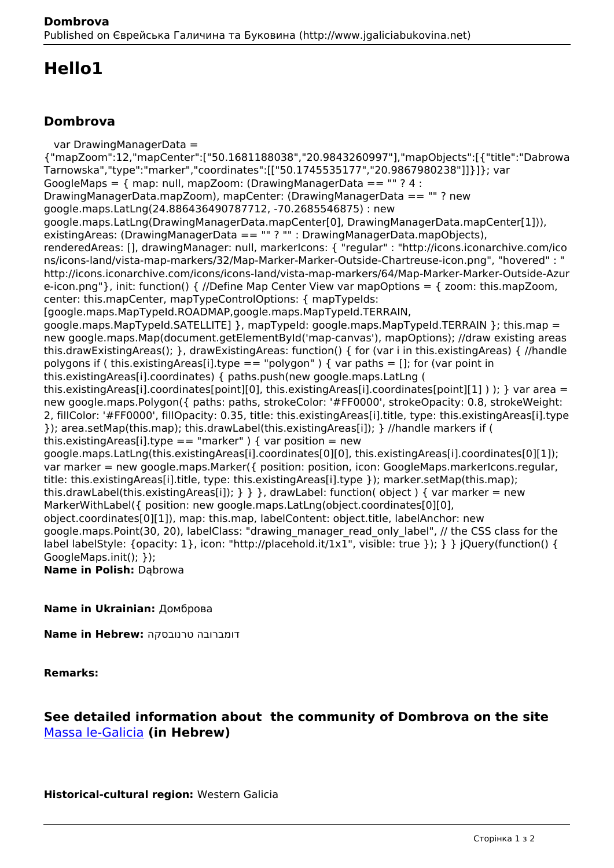# **Hello1**

### **Dombrova**

 var DrawingManagerData = {"mapZoom":12,"mapCenter":["50.1681188038","20.9843260997"],"mapObjects":[{"title":"Dabrowa Tarnowska","type":"marker","coordinates":[["50.1745535177","20.9867980238"]]}]}; var GoogleMaps =  $\{$  map: null, mapZoom: (DrawingManagerData ==  $"$  ? 4 : DrawingManagerData.mapZoom), mapCenter: (DrawingManagerData == "" ? new google.maps.LatLng(24.886436490787712, -70.2685546875) : new google.maps.LatLng(DrawingManagerData.mapCenter[0], DrawingManagerData.mapCenter[1])), existingAreas: (DrawingManagerData == "" ? "" : DrawingManagerData.mapObjects), renderedAreas: [], drawingManager: null, markerIcons: { "regular" : "http://icons.iconarchive.com/ico ns/icons-land/vista-map-markers/32/Map-Marker-Marker-Outside-Chartreuse-icon.png", "hovered" : " http://icons.iconarchive.com/icons/icons-land/vista-map-markers/64/Map-Marker-Marker-Outside-Azur e-icon.png"}, init: function() { //Define Map Center View var mapOptions = { zoom: this.mapZoom, center: this.mapCenter, mapTypeControlOptions: { mapTypeIds: [google.maps.MapTypeId.ROADMAP,google.maps.MapTypeId.TERRAIN, google.maps.MapTypeId.SATELLITE1 }, mapTypeId: google.maps.MapTypeId.TERRAIN }: this.map = new google.maps.Map(document.getElementById('map-canvas'), mapOptions); //draw existing areas this.drawExistingAreas(); }, drawExistingAreas: function() { for (var i in this.existingAreas) { //handle polygons if ( this.existingAreas[i].type == "polygon" ) { var paths = []; for (var point in this.existingAreas[i].coordinates) { paths.push(new google.maps.LatLng ( this.existingAreas[i].coordinates[point][0], this.existingAreas[i].coordinates[point][1] ) ); } var area = new google.maps.Polygon({ paths: paths, strokeColor: '#FF0000', strokeOpacity: 0.8, strokeWeight: 2, fillColor: '#FF0000', fillOpacity: 0.35, title: this.existingAreas[i].title, type: this.existingAreas[i].type }); area.setMap(this.map); this.drawLabel(this.existingAreas[i]); } //handle markers if ( this.existingAreas[i].type == "marker" ) { var position = new google.maps.LatLng(this.existingAreas[i].coordinates[0][0], this.existingAreas[i].coordinates[0][1]); var marker = new google.maps.Marker({ position: position, icon: GoogleMaps.markerIcons.regular, title: this.existingAreas[i].title, type: this.existingAreas[i].type }); marker.setMap(this.map); this.drawLabel(this.existingAreas[i]);  $\}$  } }, drawLabel: function( object ) { var marker = new MarkerWithLabel({ position: new google.maps.LatLng(object.coordinates[0][0], object.coordinates[0][1]), map: this.map, labelContent: object.title, labelAnchor: new google.maps.Point(30, 20), labelClass: "drawing\_manager\_read\_only\_label", // the CSS class for the label labelStyle: {opacity: 1}, icon: "http://placehold.it/1x1", visible: true }); } } jQuery(function() { GoogleMaps.init(); }); **Name in Polish:** Dąbrowa

#### **Name in Ukrainian:** Домброва

**Name in Hebrew:** טרנובסקה דומברובה

**Remarks:** 

### **See detailed information about the community of Dombrova on the site**  [Massa le-Galicia](https://yadzehava.wixsite.com/galicia/------------------) **(in Hebrew)**

**Historical-cultural region:** Western Galicia